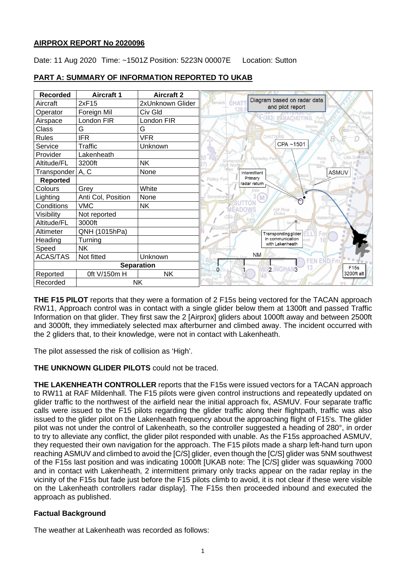## **AIRPROX REPORT No 2020096**

Date: 11 Aug 2020 Time: ~1501Z Position: 5223N 00007E Location: Sutton

| <b>Recorded</b>   | <b>Aircraft 1</b>  | <b>Aircraft 2</b> |                                                                           |
|-------------------|--------------------|-------------------|---------------------------------------------------------------------------|
| Aircraft          | 2xF15              | 2xUnknown Glider  | Diagram based on radar data<br>CHAT<br><b>Benwick</b><br>and pilot report |
| Operator          | Foreign Mil        | Civ Gld           | 129<br>Fodde                                                              |
| Airspace          | London FIR         | London FIR        | 383) PARACHUTING.<br>Fen                                                  |
| Class             | G                  | G                 |                                                                           |
| <b>Rules</b>      | <b>IFR</b>         | <b>VFR</b>        | <b>CHATTERIS</b>                                                          |
| Service           | <b>Traffic</b>     | Unknown           | CPA~1501                                                                  |
| Provider          | Lakenheath         |                   | Little Downhan<br>Wardy<br>Horseley Fen                                   |
| Altitude/FL       | 3200ft             | <b>NK</b>         | Samershan<br>West Fen<br>Hill<br>High North                               |
| Transponder       | A, C               | None              | <b>ASMUV</b><br>Intermittent                                              |
| <b>Reported</b>   |                    |                   | Primary<br>Pidley Fen<br>radar return                                     |
| Colours           | Grey               | White             | Fén                                                                       |
| Lighting          | Anti Col, Position | None              | Somershar                                                                 |
| Conditions        | <b>VMC</b>         | <b>NK</b>         | Hill Row<br><b>FADOI</b>                                                  |
| Visibility        | Not reported       |                   | Doles<br>Colne<br>Haddenham                                               |
| Altitude/FL       | 3000ft             |                   |                                                                           |
| Altimeter         | QNH (1015hPa)      |                   | Transponding glider<br>ELL'S<br>Fm                                        |
| Heading           | Turning            |                   | in communication<br>with Lakenheath                                       |
| Speed             | <b>NK</b>          |                   |                                                                           |
| <b>ACAS/TAS</b>   | Not fitted         | Unknown           | <b>NM</b><br>FNDFn                                                        |
| <b>Separation</b> |                    |                   | F15s<br>2 NGHAN3<br>$\Omega$                                              |
| Reported          | 0ft V/150m H       | <b>NK</b>         | 3200ft alt                                                                |
| Recorded          | <b>NK</b>          |                   |                                                                           |

# **PART A: SUMMARY OF INFORMATION REPORTED TO UKAB**

**THE F15 PILOT** reports that they were a formation of 2 F15s being vectored for the TACAN approach RW11, Approach control was in contact with a single glider below them at 1300ft and passed Traffic Information on that glider. They first saw the 2 [Airprox] gliders about 1000ft away and between 2500ft and 3000ft, they immediately selected max afterburner and climbed away. The incident occurred with the 2 gliders that, to their knowledge, were not in contact with Lakenheath.

The pilot assessed the risk of collision as 'High'.

**THE UNKNOWN GLIDER PILOTS** could not be traced.

**THE LAKENHEATH CONTROLLER** reports that the F15s were issued vectors for a TACAN approach to RW11 at RAF Mildenhall. The F15 pilots were given control instructions and repeatedly updated on glider traffic to the northwest of the airfield near the initial approach fix, ASMUV. Four separate traffic calls were issued to the F15 pilots regarding the glider traffic along their flightpath, traffic was also issued to the glider pilot on the Lakenheath frequency about the approaching flight of F15's. The glider pilot was not under the control of Lakenheath, so the controller suggested a heading of 280°, in order to try to alleviate any conflict, the glider pilot responded with unable. As the F15s approached ASMUV, they requested their own navigation for the approach. The F15 pilots made a sharp left-hand turn upon reaching ASMUV and climbed to avoid the [C/S] glider, even though the [C/S] glider was 5NM southwest of the F15s last position and was indicating 1000ft [UKAB note: The [C/S] glider was squawking 7000 and in contact with Lakenheath, 2 intermittent primary only tracks appear on the radar replay in the vicinity of the F15s but fade just before the F15 pilots climb to avoid, it is not clear if these were visible on the Lakenheath controllers radar display]. The F15s then proceeded inbound and executed the approach as published.

# **Factual Background**

The weather at Lakenheath was recorded as follows: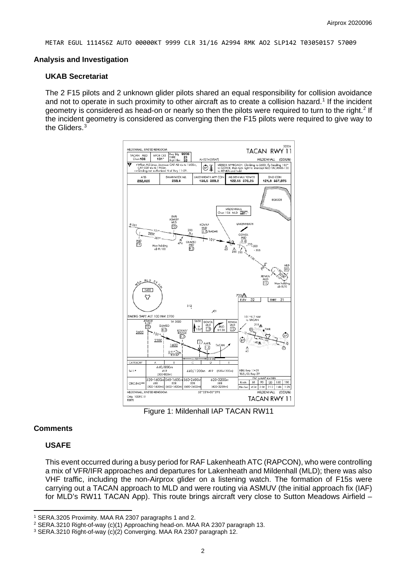METAR EGUL 111456Z AUTO 00000KT 9999 CLR 31/16 A2994 RMK AO2 SLP142 T03050157 57009

#### **Analysis and Investigation**

#### **UKAB Secretariat**

The 2 F15 pilots and 2 unknown glider pilots shared an equal responsibility for collision avoidance and not to operate in such proximity to other aircraft as to create a collision hazard. [1](#page-1-0) If the incident geometry is considered as head-on or nearly so then the pilots were required to turn to the right.<sup>[2](#page-1-1)</sup> If the incident geometry is considered as converging then the F15 pilots were required to give way to the Gliders. $^3$  $^3$ 



Figure 1: Mildenhall IAP TACAN RW11

#### **Comments**

### **USAFE**

This event occurred during a busy period for RAF Lakenheath ATC (RAPCON), who were controlling a mix of VFR/IFR approaches and departures for Lakenheath and Mildenhall (MLD); there was also VHF traffic, including the non-Airprox glider on a listening watch. The formation of F15s were carrying out a TACAN approach to MLD and were routing via ASMUV (the initial approach fix (IAF) for MLD's RW11 TACAN App). This route brings aircraft very close to Sutton Meadows Airfield –

<span id="page-1-0"></span><sup>1</sup> SERA.3205 Proximity. MAA RA 2307 paragraphs 1 and 2.

<span id="page-1-1"></span><sup>2</sup> SERA.3210 Right-of-way (c)(1) Approaching head-on. MAA RA 2307 paragraph 13.

<span id="page-1-2"></span><sup>3</sup> SERA.3210 Right-of-way (c)(2) Converging. MAA RA 2307 paragraph 12.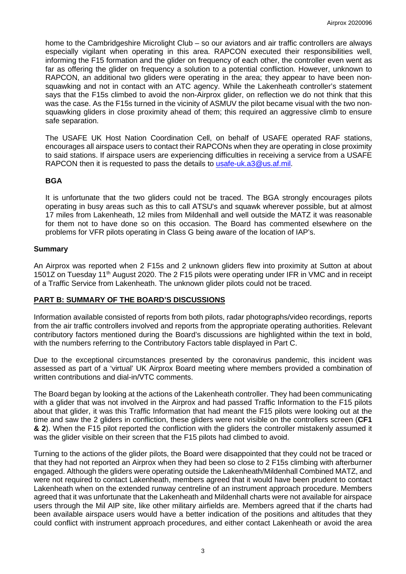home to the Cambridgeshire Microlight Club – so our aviators and air traffic controllers are always especially vigilant when operating in this area. RAPCON executed their responsibilities well, informing the F15 formation and the glider on frequency of each other, the controller even went as far as offering the glider on frequency a solution to a potential confliction. However, unknown to RAPCON, an additional two gliders were operating in the area; they appear to have been nonsquawking and not in contact with an ATC agency. While the Lakenheath controller's statement says that the F15s climbed to avoid the non-Airprox glider, on reflection we do not think that this was the case. As the F15s turned in the vicinity of ASMUV the pilot became visual with the two nonsquawking gliders in close proximity ahead of them; this required an aggressive climb to ensure safe separation.

The USAFE UK Host Nation Coordination Cell, on behalf of USAFE operated RAF stations, encourages all airspace users to contact their RAPCONs when they are operating in close proximity to said stations. If airspace users are experiencing difficulties in receiving a service from a USAFE RAPCON then it is requested to pass the details to [usafe-uk.a3@us.af.mil.](mailto:usafe-uk.a3@us.af.mil)

# **BGA**

It is unfortunate that the two gliders could not be traced. The BGA strongly encourages pilots operating in busy areas such as this to call ATSU's and squawk wherever possible, but at almost 17 miles from Lakenheath, 12 miles from Mildenhall and well outside the MATZ it was reasonable for them not to have done so on this occasion. The Board has commented elsewhere on the problems for VFR pilots operating in Class G being aware of the location of IAP's.

# **Summary**

An Airprox was reported when 2 F15s and 2 unknown gliders flew into proximity at Sutton at about 1501Z on Tuesday 11<sup>th</sup> August 2020. The 2 F15 pilots were operating under IFR in VMC and in receipt of a Traffic Service from Lakenheath. The unknown glider pilots could not be traced.

# **PART B: SUMMARY OF THE BOARD'S DISCUSSIONS**

Information available consisted of reports from both pilots, radar photographs/video recordings, reports from the air traffic controllers involved and reports from the appropriate operating authorities. Relevant contributory factors mentioned during the Board's discussions are highlighted within the text in bold, with the numbers referring to the Contributory Factors table displayed in Part C.

Due to the exceptional circumstances presented by the coronavirus pandemic, this incident was assessed as part of a 'virtual' UK Airprox Board meeting where members provided a combination of written contributions and dial-in/VTC comments.

The Board began by looking at the actions of the Lakenheath controller. They had been communicating with a glider that was not involved in the Airprox and had passed Traffic Information to the F15 pilots about that glider, it was this Traffic Information that had meant the F15 pilots were looking out at the time and saw the 2 gliders in confliction, these gliders were not visible on the controllers screen (**CF1 & 2**). When the F15 pilot reported the confliction with the gliders the controller mistakenly assumed it was the glider visible on their screen that the F15 pilots had climbed to avoid.

Turning to the actions of the glider pilots, the Board were disappointed that they could not be traced or that they had not reported an Airprox when they had been so close to 2 F15s climbing with afterburner engaged. Although the gliders were operating outside the Lakenheath/Mildenhall Combined MATZ, and were not required to contact Lakenheath, members agreed that it would have been prudent to contact Lakenheath when on the extended runway centreline of an instrument approach procedure. Members agreed that it was unfortunate that the Lakenheath and Mildenhall charts were not available for airspace users through the Mil AIP site, like other military airfields are. Members agreed that if the charts had been available airspace users would have a better indication of the positions and altitudes that they could conflict with instrument approach procedures, and either contact Lakenheath or avoid the area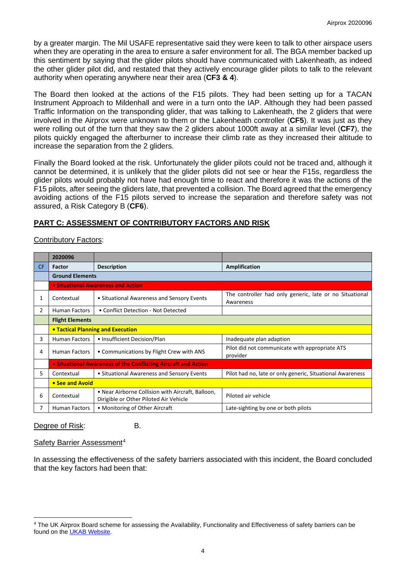by a greater margin. The Mil USAFE representative said they were keen to talk to other airspace users when they are operating in the area to ensure a safer environment for all. The BGA member backed up this sentiment by saying that the glider pilots should have communicated with Lakenheath, as indeed the other glider pilot did, and restated that they actively encourage glider pilots to talk to the relevant authority when operating anywhere near their area (**CF3 & 4**).

The Board then looked at the actions of the F15 pilots. They had been setting up for a TACAN Instrument Approach to Mildenhall and were in a turn onto the IAP. Although they had been passed Traffic Information on the transponding glider, that was talking to Lakenheath, the 2 gliders that were involved in the Airprox were unknown to them or the Lakenheath controller (**CF5**). It was just as they were rolling out of the turn that they saw the 2 gliders about 1000ft away at a similar level (**CF7**), the pilots quickly engaged the afterburner to increase their climb rate as they increased their altitude to increase the separation from the 2 gliders.

Finally the Board looked at the risk. Unfortunately the glider pilots could not be traced and, although it cannot be determined, it is unlikely that the glider pilots did not see or hear the F15s, regardless the glider pilots would probably not have had enough time to react and therefore it was the actions of the F15 pilots, after seeing the gliders late, that prevented a collision. The Board agreed that the emergency avoiding actions of the F15 pilots served to increase the separation and therefore safety was not assured, a Risk Category B (**CF6**).

### **PART C: ASSESSMENT OF CONTRIBUTORY FACTORS AND RISK**

#### Contributory Factors:

|           | 2020096                                                        |                                                                                             |                                                                      |  |  |
|-----------|----------------------------------------------------------------|---------------------------------------------------------------------------------------------|----------------------------------------------------------------------|--|--|
| <b>CF</b> | Factor                                                         | <b>Description</b>                                                                          | Amplification                                                        |  |  |
|           | <b>Ground Elements</b>                                         |                                                                                             |                                                                      |  |  |
|           | • Situational Awareness and Action                             |                                                                                             |                                                                      |  |  |
| 1         | Contextual                                                     | • Situational Awareness and Sensory Events                                                  | The controller had only generic, late or no Situational<br>Awareness |  |  |
| 2         | <b>Human Factors</b>                                           | • Conflict Detection - Not Detected                                                         |                                                                      |  |  |
|           | <b>Flight Elements</b>                                         |                                                                                             |                                                                      |  |  |
|           | <b>• Tactical Planning and Execution</b>                       |                                                                                             |                                                                      |  |  |
| 3         | <b>Human Factors</b>                                           | • Insufficient Decision/Plan                                                                | Inadequate plan adaption                                             |  |  |
| 4         | <b>Human Factors</b>                                           | • Communications by Flight Crew with ANS                                                    | Pilot did not communicate with appropriate ATS<br>provider           |  |  |
|           | • Situational Awareness of the Conflicting Aircraft and Action |                                                                                             |                                                                      |  |  |
| 5.        | Contextual                                                     | • Situational Awareness and Sensory Events                                                  | Pilot had no, late or only generic, Situational Awareness            |  |  |
|           | • See and Avoid                                                |                                                                                             |                                                                      |  |  |
| 6         | Contextual                                                     | • Near Airborne Collision with Aircraft, Balloon,<br>Dirigible or Other Piloted Air Vehicle | Piloted air vehicle                                                  |  |  |
|           | Human Factors                                                  | • Monitoring of Other Aircraft                                                              | Late-sighting by one or both pilots                                  |  |  |

Degree of Risk: B.

### Safety Barrier Assessment<sup>[4](#page-3-0)</sup>

In assessing the effectiveness of the safety barriers associated with this incident, the Board concluded that the key factors had been that:

<span id="page-3-0"></span><sup>4</sup> The UK Airprox Board scheme for assessing the Availability, Functionality and Effectiveness of safety barriers can be found on the [UKAB Website.](http://www.airproxboard.org.uk/Learn-more/Airprox-Barrier-Assessment/)